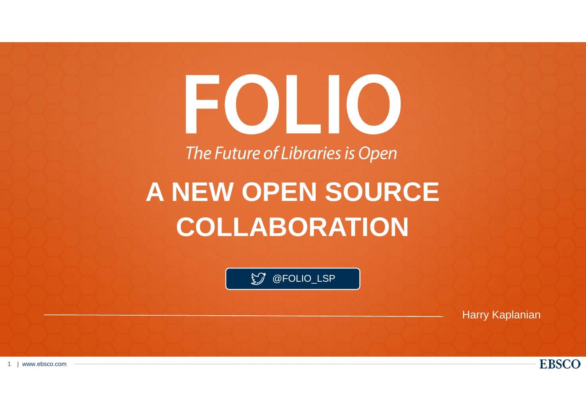# FOLIO

The Future of Libraries is Open

# **A NEW OPEN SOURCE COLLABORATION**

@FOLIO\_LSP

Harry Kaplanian

**EBSCO** 

1| www.ebsco.com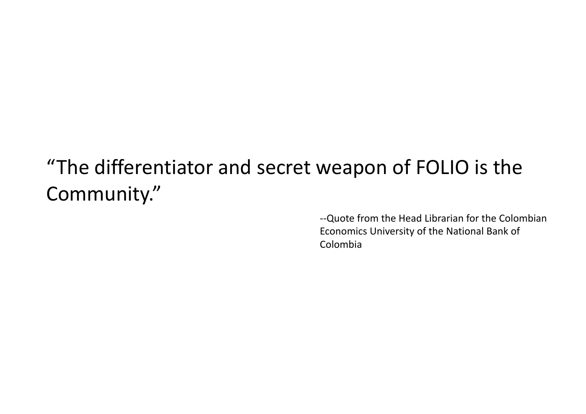## "The differentiator and secret weapon of FOLIO is the Community."

‐‐Quote from the Head Librarian for the Colombian Economics University of the National Bank of Colombia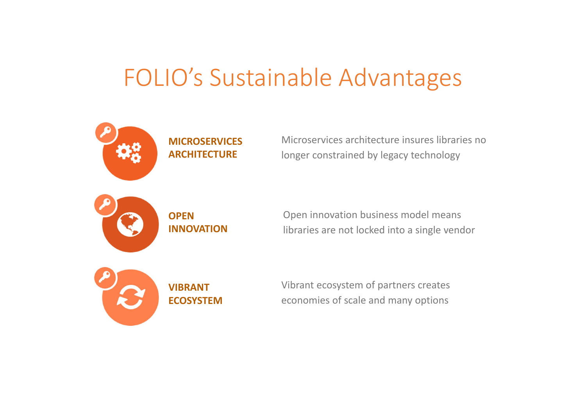## FOLIO's Sustainable Advantages



**MICROSERVICESARCHITECTURE**

Microservices architecture insures libraries nolonger constrained by legacy technology



**OPENINNOVATION**

Open innovation business model means libraries are not locked into <sup>a</sup> single vendor



Vibrant ecosystem of partners creates economies of scale and many options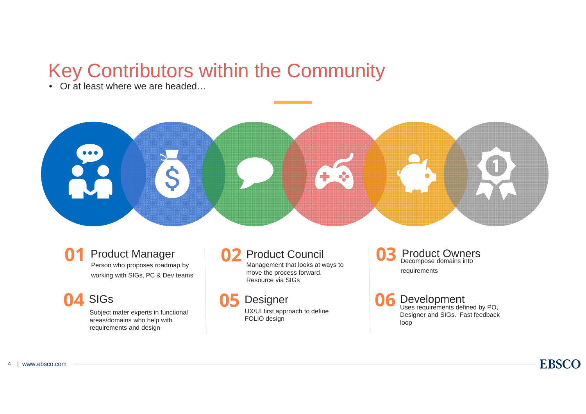## Key Contributors within the Community

• Or at least where we are headed…



#### **01** Product Manager Person who proposes roadmap by

working with SIGs, PC & Dev teams

#### **04** SIGs

Subject mater experts in functional areas/domains who help with requirements and design

#### **02** Product Council

Management that looks at ways to move the process forward. Resource via SIGs

#### **05** Designer

UX/UI first approach to define FOLIO design

**Product Owners**<br>Decompose domains into requirements

**Development**<br>Uses requirements defined by PO, Designer and SIGs. Fast feedback loop

**EBSCO**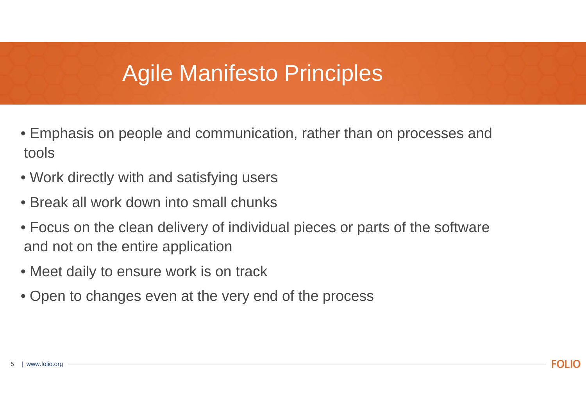## Agile Manifesto Principles

- Emphasis on people and communication, rather than on processes and tools
- Work directly with and satisfying users
- Break all work down into small chunks
- Focus on the clean delivery of individual pieces or parts of the software and not on the entire application
- Meet daily to ensure work is on track
- Open to changes even at the very end of the process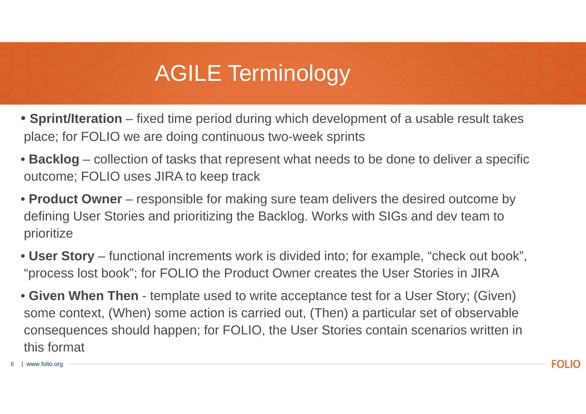## AGILE Terminology

- **Sprint/Iteration** fixed time period during which development of a usable result takes place; for FOLIO we are doing continuous two-week sprints
- **Backlog** collection of tasks that represent what needs to be done to deliver a specific outcome; FOLIO uses JIRA to keep track
- **Product Owner**  responsible for making sure team delivers the desired outcome by defining User Stories and prioritizing the Backlog. Works with SIGs and dev team to prioritize
- **User Story**  functional increments work is divided into; for example, "check out book", "process lost book"; for FOLIO the Product Owner creates the User Stories in JIRA
- **Given When Then**  template used to write acceptance test for a User Story; (Given) some context, (When) some action is carried out, (Then) a particular set of observable consequences should happen; for FOLIO, the User Stories contain scenarios written in this format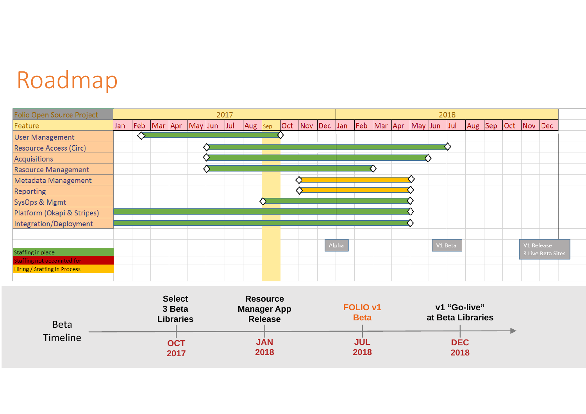## Roadmap

| <b>Folio Open Source Project</b>                                  |     |   |  |                         | 2017 |         |  |                 |       |  |                     |         | 2018 |         |             |                   |  |  |  |
|-------------------------------------------------------------------|-----|---|--|-------------------------|------|---------|--|-----------------|-------|--|---------------------|---------|------|---------|-------------|-------------------|--|--|--|
| Feature                                                           | Jan |   |  | Feb Mar Apr May Jun Jul |      | Aug Sep |  | Oct Nov Dec Jan |       |  | Feb Mar Apr May Jun |         | Jul  | Aug Sep | Oct Nov Dec |                   |  |  |  |
| <b>User Management</b>                                            |     | ◇ |  |                         |      |         |  |                 |       |  |                     |         |      |         |             |                   |  |  |  |
| <b>Resource Access (Circ)</b>                                     |     |   |  |                         |      |         |  |                 |       |  |                     |         |      |         |             |                   |  |  |  |
| Acquisitions                                                      |     |   |  |                         |      |         |  |                 |       |  |                     |         |      |         |             |                   |  |  |  |
| <b>Resource Management</b>                                        |     |   |  |                         |      |         |  |                 |       |  |                     |         |      |         |             |                   |  |  |  |
| Metadata Management                                               |     |   |  |                         |      |         |  |                 |       |  |                     |         |      |         |             |                   |  |  |  |
| <b>Reporting</b>                                                  |     |   |  |                         |      |         |  |                 |       |  |                     |         |      |         |             |                   |  |  |  |
| SysOps & Mgmt                                                     |     |   |  |                         |      |         |  |                 |       |  |                     |         |      |         |             |                   |  |  |  |
| Platform (Okapi & Stripes)                                        |     |   |  |                         |      |         |  |                 |       |  |                     |         |      |         |             |                   |  |  |  |
| Integration/Deployment                                            |     |   |  |                         |      |         |  |                 |       |  |                     |         |      |         |             |                   |  |  |  |
|                                                                   |     |   |  |                         |      |         |  |                 |       |  |                     |         |      |         |             |                   |  |  |  |
|                                                                   |     |   |  |                         |      |         |  |                 | Alpha |  |                     | V1 Beta |      |         |             | V1 Release        |  |  |  |
| <b>Staffing in place</b>                                          |     |   |  |                         |      |         |  |                 |       |  |                     |         |      |         |             | 3 Live Beta Sites |  |  |  |
| Staffing not accounted for<br><b>Hiring / Staffing in Process</b> |     |   |  |                         |      |         |  |                 |       |  |                     |         |      |         |             |                   |  |  |  |
|                                                                   |     |   |  |                         |      |         |  |                 |       |  |                     |         |      |         |             |                   |  |  |  |

| <b>Beta</b> | <b>Select</b><br>3 Beta<br><b>Libraries</b> | <b>Resource</b><br><b>Manager App</b><br><b>Release</b> | <b>FOLIO v1</b><br><b>Beta</b> | v1 "Go-live"<br>at Beta Libraries |                    |  |  |  |  |
|-------------|---------------------------------------------|---------------------------------------------------------|--------------------------------|-----------------------------------|--------------------|--|--|--|--|
| Timeline    | <b>OCT</b><br>2017                          | <b>JAN</b><br>2018                                      | <b>JUL</b><br>2018             |                                   | <b>DEC</b><br>2018 |  |  |  |  |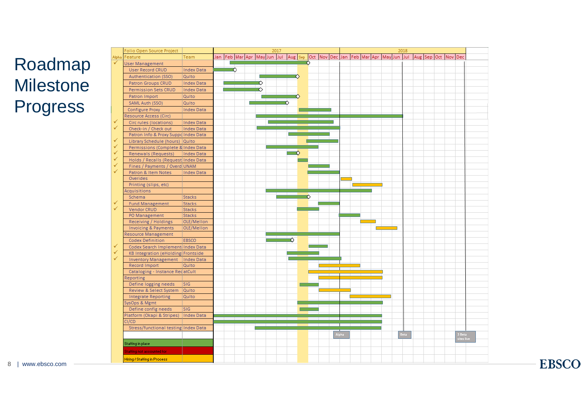### Roadmap Milestone Progress

|   | Folio Open Source Project            |                   |  |                                                                                                 |  |  |   | 2017 |  |         |  |   |  |  |       |  |  |  |  |  | 2018 |  |  |  |  |                      |  |
|---|--------------------------------------|-------------------|--|-------------------------------------------------------------------------------------------------|--|--|---|------|--|---------|--|---|--|--|-------|--|--|--|--|--|------|--|--|--|--|----------------------|--|
|   | <b>Npha</b> Feature                  | Team              |  | Jan Feb Mar Apr May Jun Jul Aug Sep Oct Nov Dec Jan Feb Mar Apr May Jun Jul Aug Sep Oct Nov Dec |  |  |   |      |  |         |  |   |  |  |       |  |  |  |  |  |      |  |  |  |  |                      |  |
|   | <b>User Management</b>               |                   |  |                                                                                                 |  |  |   |      |  |         |  |   |  |  |       |  |  |  |  |  |      |  |  |  |  |                      |  |
|   | <b>User Record CRUD</b>              | <b>Index Data</b> |  | $\overline{\phantom{a}}$                                                                        |  |  |   |      |  |         |  |   |  |  |       |  |  |  |  |  |      |  |  |  |  |                      |  |
|   | Authentication (SSO)                 | Quito             |  |                                                                                                 |  |  |   |      |  | $\circ$ |  |   |  |  |       |  |  |  |  |  |      |  |  |  |  |                      |  |
|   | Patron Groups CRUD                   | <b>Index Data</b> |  |                                                                                                 |  |  | ♦ |      |  |         |  |   |  |  |       |  |  |  |  |  |      |  |  |  |  |                      |  |
|   | Permission Sets CRUD                 | Index Data        |  |                                                                                                 |  |  |   |      |  |         |  |   |  |  |       |  |  |  |  |  |      |  |  |  |  |                      |  |
|   | Patron Import                        | Quito             |  |                                                                                                 |  |  |   |      |  | ᅐ       |  |   |  |  |       |  |  |  |  |  |      |  |  |  |  |                      |  |
|   | SAML Auth (SSO)                      | Quito             |  |                                                                                                 |  |  |   |      |  | റ       |  |   |  |  |       |  |  |  |  |  |      |  |  |  |  |                      |  |
|   | Configure Proxy                      | <b>Index Data</b> |  |                                                                                                 |  |  |   |      |  |         |  |   |  |  |       |  |  |  |  |  |      |  |  |  |  |                      |  |
|   | Resource Access (Circ)               |                   |  |                                                                                                 |  |  |   |      |  |         |  |   |  |  |       |  |  |  |  |  |      |  |  |  |  |                      |  |
|   | Circ rules (locations)               | <b>Index Data</b> |  |                                                                                                 |  |  |   |      |  |         |  |   |  |  |       |  |  |  |  |  |      |  |  |  |  |                      |  |
| ✓ | Check-in / Check out                 | Index Data        |  |                                                                                                 |  |  |   |      |  |         |  |   |  |  |       |  |  |  |  |  |      |  |  |  |  |                      |  |
|   | Patron Info & Proxy Suppd Index Data |                   |  |                                                                                                 |  |  |   |      |  |         |  |   |  |  |       |  |  |  |  |  |      |  |  |  |  |                      |  |
| ✓ | Library Schedule (hours) Quito       |                   |  |                                                                                                 |  |  |   |      |  |         |  |   |  |  |       |  |  |  |  |  |      |  |  |  |  |                      |  |
| ✓ | Permissions (Complete & Index Data   |                   |  |                                                                                                 |  |  |   |      |  |         |  |   |  |  |       |  |  |  |  |  |      |  |  |  |  |                      |  |
| ✓ | Renewals (Requests)                  | Index Data        |  |                                                                                                 |  |  |   |      |  |         |  |   |  |  |       |  |  |  |  |  |      |  |  |  |  |                      |  |
| ✓ | Holds / Recalls (Request Index Data  |                   |  |                                                                                                 |  |  |   |      |  |         |  |   |  |  |       |  |  |  |  |  |      |  |  |  |  |                      |  |
| ✓ | Fines / Payments / Overd UNAM        |                   |  |                                                                                                 |  |  |   |      |  |         |  |   |  |  |       |  |  |  |  |  |      |  |  |  |  |                      |  |
| ✓ | Patron & Item Notes                  | <b>Index Data</b> |  |                                                                                                 |  |  |   |      |  |         |  |   |  |  |       |  |  |  |  |  |      |  |  |  |  |                      |  |
|   | Overides                             |                   |  |                                                                                                 |  |  |   |      |  |         |  |   |  |  |       |  |  |  |  |  |      |  |  |  |  |                      |  |
|   | Printing (slips, etc)                |                   |  |                                                                                                 |  |  |   |      |  |         |  |   |  |  |       |  |  |  |  |  |      |  |  |  |  |                      |  |
|   | Acquisitions                         |                   |  |                                                                                                 |  |  |   |      |  |         |  |   |  |  |       |  |  |  |  |  |      |  |  |  |  |                      |  |
|   | Schema                               | <b>Stacks</b>     |  |                                                                                                 |  |  |   |      |  |         |  | 交 |  |  |       |  |  |  |  |  |      |  |  |  |  |                      |  |
|   | <b>Fund Management</b>               | <b>Stacks</b>     |  |                                                                                                 |  |  |   |      |  |         |  |   |  |  |       |  |  |  |  |  |      |  |  |  |  |                      |  |
|   | Vendor CRUD                          | <b>Stacks</b>     |  |                                                                                                 |  |  |   |      |  |         |  |   |  |  |       |  |  |  |  |  |      |  |  |  |  |                      |  |
|   | PO Management                        | <b>Stacks</b>     |  |                                                                                                 |  |  |   |      |  |         |  |   |  |  |       |  |  |  |  |  |      |  |  |  |  |                      |  |
|   | Receiving / Holdings                 | OLE/Mellon        |  |                                                                                                 |  |  |   |      |  |         |  |   |  |  |       |  |  |  |  |  |      |  |  |  |  |                      |  |
|   | <b>Invoicing &amp; Payments</b>      | OLE/Mellon        |  |                                                                                                 |  |  |   |      |  |         |  |   |  |  |       |  |  |  |  |  |      |  |  |  |  |                      |  |
|   | <b>Resource Management</b>           |                   |  |                                                                                                 |  |  |   |      |  |         |  |   |  |  |       |  |  |  |  |  |      |  |  |  |  |                      |  |
|   | <b>Codex Definition</b>              | <b>EBSCO</b>      |  |                                                                                                 |  |  |   |      |  | ♦       |  |   |  |  |       |  |  |  |  |  |      |  |  |  |  |                      |  |
|   | Codex Search Implement Index Data    |                   |  |                                                                                                 |  |  |   |      |  |         |  |   |  |  |       |  |  |  |  |  |      |  |  |  |  |                      |  |
| ✓ | KB Integration (eHolding Frontside   |                   |  |                                                                                                 |  |  |   |      |  |         |  |   |  |  |       |  |  |  |  |  |      |  |  |  |  |                      |  |
| ✓ | Inventory Management   Index Data    |                   |  |                                                                                                 |  |  |   |      |  |         |  |   |  |  |       |  |  |  |  |  |      |  |  |  |  |                      |  |
|   | Record Import                        | Quito             |  |                                                                                                 |  |  |   |      |  |         |  |   |  |  |       |  |  |  |  |  |      |  |  |  |  |                      |  |
|   | Cataloging - Instance RedatCult      |                   |  |                                                                                                 |  |  |   |      |  |         |  |   |  |  |       |  |  |  |  |  |      |  |  |  |  |                      |  |
|   | Reporting                            |                   |  |                                                                                                 |  |  |   |      |  |         |  |   |  |  |       |  |  |  |  |  |      |  |  |  |  |                      |  |
|   | Define logging needs                 | <b>SIG</b>        |  |                                                                                                 |  |  |   |      |  |         |  |   |  |  |       |  |  |  |  |  |      |  |  |  |  |                      |  |
|   | Review & Select System               | Quito             |  |                                                                                                 |  |  |   |      |  |         |  |   |  |  |       |  |  |  |  |  |      |  |  |  |  |                      |  |
|   | <b>Integrate Reporting</b>           | Quito             |  |                                                                                                 |  |  |   |      |  |         |  |   |  |  |       |  |  |  |  |  |      |  |  |  |  |                      |  |
|   | SysOps & Mgmt                        |                   |  |                                                                                                 |  |  |   |      |  |         |  |   |  |  |       |  |  |  |  |  |      |  |  |  |  |                      |  |
|   | Define config needs                  | <b>SIG</b>        |  |                                                                                                 |  |  |   |      |  |         |  |   |  |  |       |  |  |  |  |  |      |  |  |  |  |                      |  |
|   | Platform (Okapi & Stripes)           | Index Data        |  |                                                                                                 |  |  |   |      |  |         |  |   |  |  |       |  |  |  |  |  |      |  |  |  |  |                      |  |
|   | CI/CD                                |                   |  |                                                                                                 |  |  |   |      |  |         |  |   |  |  |       |  |  |  |  |  |      |  |  |  |  |                      |  |
|   | Stress/functional testing Index Data |                   |  |                                                                                                 |  |  |   |      |  |         |  |   |  |  |       |  |  |  |  |  |      |  |  |  |  |                      |  |
|   |                                      |                   |  |                                                                                                 |  |  |   |      |  |         |  |   |  |  | Alpha |  |  |  |  |  | Beta |  |  |  |  | 3 Beta<br>sites live |  |
|   | Staffing in place                    |                   |  |                                                                                                 |  |  |   |      |  |         |  |   |  |  |       |  |  |  |  |  |      |  |  |  |  |                      |  |
|   | <b>Staffing not accounted for</b>    |                   |  |                                                                                                 |  |  |   |      |  |         |  |   |  |  |       |  |  |  |  |  |      |  |  |  |  |                      |  |
|   |                                      |                   |  |                                                                                                 |  |  |   |      |  |         |  |   |  |  |       |  |  |  |  |  |      |  |  |  |  |                      |  |
|   | Hiring / Staffing in Process         |                   |  |                                                                                                 |  |  |   |      |  |         |  |   |  |  |       |  |  |  |  |  |      |  |  |  |  |                      |  |

8| www.ebsco.com **EBSCO**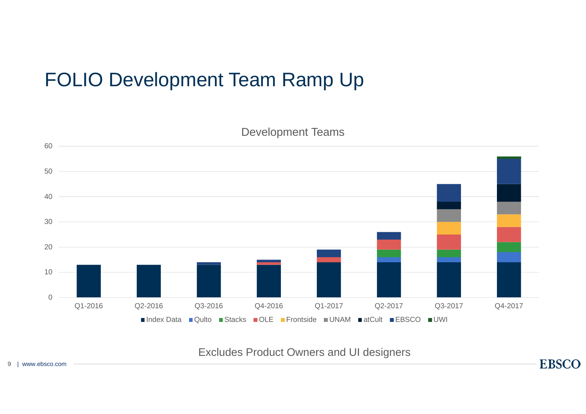## FOLIO Development Team Ramp Up



Excludes Product Owners and UI designers

**EBSCO**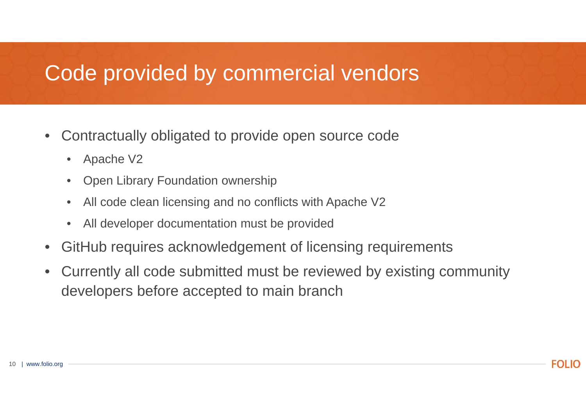## Code provided by commercial vendors

- • Contractually obligated to provide open source code
	- •Apache V2
	- •Open Library Foundation ownership
	- •All code clean licensing and no conflicts with Apache V2
	- •All developer documentation must be provided
- $\bullet$ GitHub requires acknowledgement of licensing requirements
- • Currently all code submitted must be reviewed by existing community developers before accepted to main branch